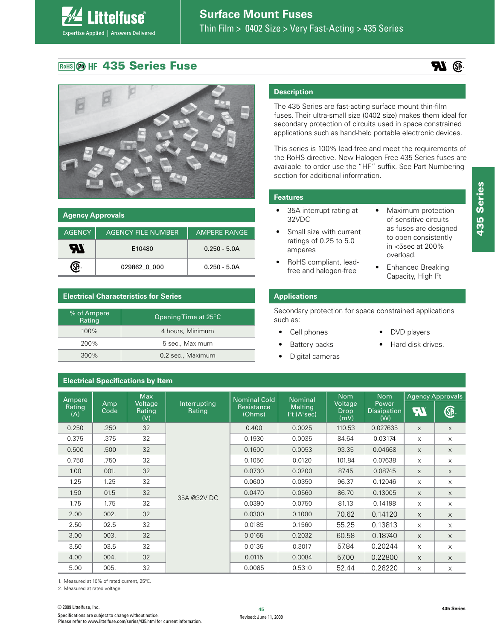## **ROHS @ HF 435 Series Fuse**





| <b>Agency Approvals</b> |                           |                     |  |  |
|-------------------------|---------------------------|---------------------|--|--|
| <b>AGENCY</b>           | <b>AGENCY FILE NUMBER</b> | <b>AMPERE RANGE</b> |  |  |
| 70                      | E10480                    | $0.250 - 5.0A$      |  |  |
|                         | 029862 0 000              | $0.250 - 5.0A$      |  |  |

## **Electrical Characteristics for Series**

**Electrical Specifications by Item**

| % of Ampere<br>Rating | Opening Time at 25 <sup>o</sup> C |
|-----------------------|-----------------------------------|
| $100\%$               | 4 hours, Minimum                  |
| 200%                  | 5 sec., Maximum                   |
| 300%                  | 0.2 sec., Maximum                 |

## **Description**

The 435 Series are fast-acting surface mount thin-film fuses. Their ultra-small size (0402 size) makes them ideal for secondary protection of circuits used in space constrained applications such as hand-held portable electronic devices.

This series is 100% lead-free and meet the requirements of the RoHS directive. New Halogen-Free 435 Series fuses are available-to order use the "HF" suffix. See Part Numbering section for additional information.

## **Features**

- 35A interrupt rating at 32VDC
- Small size with current ratings of 0.25 to 5.0 amperes
- RoHS compliant, leadfree and halogen-free
- Maximum protection of sensitive circuits as fuses are designed to open consistently in  $<5$ sec at 200% overload.
- Enhanced Breaking Capacity, High l<sup>2</sup>t

## **Applications**

Secondary protection for space constrained applications such as:

- Cell phones
- Battery packs
- Digital cameras
- DVD players
- Hard disk drives.

| Ampere                       |                          | <b>Max</b>             |                      | <b>Nominal Cold</b>                           | <b>Nominal</b>                        | <b>Nom</b>                         | <b>Nom</b> |          | <b>Agency Approvals</b> |
|------------------------------|--------------------------|------------------------|----------------------|-----------------------------------------------|---------------------------------------|------------------------------------|------------|----------|-------------------------|
| Amp<br>Rating<br>Code<br>(A) | Voltage<br>Rating<br>(V) | Interrupting<br>Rating | Resistance<br>(Ohms) | <b>Melting</b><br>$12$ t (A <sup>2</sup> sec) | <b>Voltage</b><br><b>Drop</b><br>(mV) | Power<br><b>Dissipation</b><br>(W) | <b>AT</b>  | <b>A</b> |                         |
| 0.250                        | .250                     | 32                     |                      | 0.400                                         | 0.0025                                | 110.53                             | 0.027635   | $\times$ | $\times$                |
| 0.375                        | .375                     | 32                     |                      | 0.1930                                        | 0.0035                                | 84.64                              | 0.03174    | $\times$ | X                       |
| 0.500                        | .500                     | 32                     |                      | 0.1600                                        | 0.0053                                | 93.35                              | 0.04668    | $\times$ | X                       |
| 0.750                        | .750                     | 32                     |                      | 0.1050                                        | 0.0120                                | 101.84                             | 0.07638    | X        | X                       |
| 1.00                         | 001.                     | 32                     |                      | 0.0730                                        | 0.0200                                | 87.45                              | 0.08745    | $\times$ | X                       |
| 1.25                         | 1.25                     | 32                     |                      | 0.0600                                        | 0.0350                                | 96.37                              | 0.12046    | $\times$ | $\times$                |
| 1.50                         | 01.5                     | 32                     | 35A @32V DC          | 0.0470                                        | 0.0560                                | 86.70                              | 0.13005    | $\times$ | $\times$                |
| 1.75                         | 1.75                     | 32                     |                      | 0.0390                                        | 0.0750                                | 81.13                              | 0.14198    | $\times$ | X                       |
| 2.00                         | 002.                     | 32                     |                      | 0.0300                                        | 0.1000                                | 70.62                              | 0.14120    | $\times$ | $\times$                |
| 2.50                         | 02.5                     | 32                     |                      | 0.0185                                        | 0.1560                                | 55.25                              | 0.13813    | X        | $\times$                |
| 3.00                         | 003.                     | 32                     |                      | 0.0165                                        | 0.2032                                | 60.58                              | 0.18740    | $\times$ | $\times$                |
| 3.50                         | 03.5                     | 32                     |                      | 0.0135                                        | 0.3017                                | 57.84                              | 0.20244    | X        | $\times$                |
| 4.00                         | 004.                     | 32                     |                      | 0.0115                                        | 0.3084                                | 57.00                              | 0.22800    | $\times$ | $\times$                |
| 5.00                         | 005.                     | 32                     |                      | 0.0085                                        | 0.5310                                | 52.44                              | 0.26220    | X        | X                       |

1 Measured at 10% of rated current 25°C.

2. Measured at rated voltage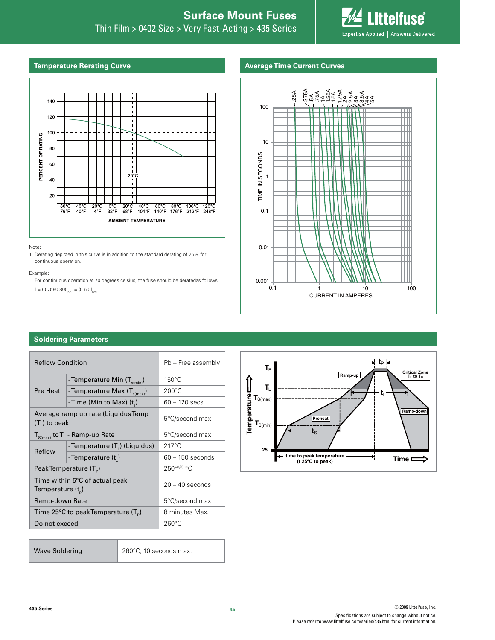

## **Temperature Rerating Curve**

## **Average Time Current Curves**



#### Note:

1. Derating depicted in this curve is in addition to the standard derating of 25% for continuous operation.

#### Example:

For continuous operation at 70 degrees celsius, the fuse should be deratedas follows:

 $I = (0.75)(0.80)I_{\text{RAT}} = (0.60)I_{\text{RAT}}$ 



## **Soldering Parameters**

| <b>Reflow Condition</b>                                   |                                            | Pb - Free assembly |  |
|-----------------------------------------------------------|--------------------------------------------|--------------------|--|
|                                                           | - Temperature Min (T <sub>s(min</sub> )    | $150^{\circ}$ C    |  |
| Pre Heat                                                  | - Temperature Max (T <sub>s(max)</sub> )   | $200^{\circ}$ C    |  |
|                                                           | -Time (Min to Max) (t)                     | 60 - 120 secs      |  |
| Average ramp up rate (Liquidus Temp<br>$(T1)$ to peak     |                                            | 5°C/second max     |  |
| $T_{S(max)}$ to $T_{L}$ - Ramp-up Rate                    |                                            | 5°C/second max     |  |
| Reflow                                                    | - Temperature (T <sub>1</sub> ) (Liquidus) | $217^{\circ}$ C    |  |
|                                                           | -Temperature (t,)                          | $60 - 150$ seconds |  |
| Peak Temperature (T <sub>e</sub> )                        |                                            | 250+0/-5 °C        |  |
| Time within 5°C of actual peak<br>Temperature $(t_{n})$   |                                            | $20 - 40$ seconds  |  |
| Ramp-down Rate                                            |                                            | 5°C/second max     |  |
| Time 25 $\degree$ C to peak Temperature (T <sub>o</sub> ) |                                            | 8 minutes Max.     |  |
| Do not exceed                                             |                                            | $260^{\circ}$ C    |  |
|                                                           |                                            |                    |  |

Wave Soldering 260°C, 10 seconds max.

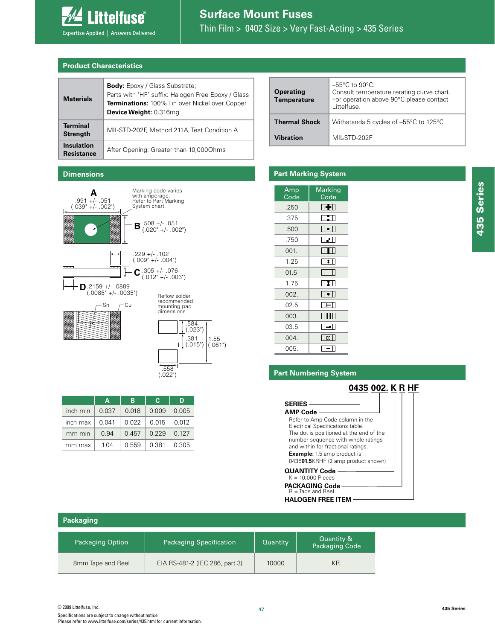

## **Product Characteristics**

**Dimensions**

| <b>Materials</b>                       | <b>Body:</b> Epoxy / Glass Substrate;<br>Parts with 'HF' suffix: Halogen Free Epoxy / Glass<br>Terminations: 100% Tin over Nickel over Copper<br>Device Weight: 0.316mg |
|----------------------------------------|-------------------------------------------------------------------------------------------------------------------------------------------------------------------------|
| <b>Terminal</b><br><b>Strength</b>     | MIL-STD-202F, Method 211A, Test Condition A                                                                                                                             |
| <b>Insulation</b><br><b>Resistance</b> | After Opening: Greater than 10,0000hms                                                                                                                                  |

| <b>Operating</b><br><b>Temperature</b> | $-55^{\circ}$ C to 90 $^{\circ}$ C.<br>Consult temperature rerating curve chart.<br>For operation above 90°C please contact<br>Littelfuse. |
|----------------------------------------|--------------------------------------------------------------------------------------------------------------------------------------------|
| <b>Thermal Shock</b>                   | Withstands 5 cycles of -55°C to 125°C                                                                                                      |
| <b>Vibration</b>                       | MII-STD-202F                                                                                                                               |

## **Part Marking System**

| Δ<br>$.991 +/- .051$<br>$(.039" +/- .002")$          | with amperage.<br>System chart.             | Marking code varies<br>Refer to Part Marking<br><b>B</b> $.508 +/- .051$<br>$(.020^{\circ} +/- .002^{\circ})$         |
|------------------------------------------------------|---------------------------------------------|-----------------------------------------------------------------------------------------------------------------------|
| $\Box$ 2159 +/- .0889<br>$(.0085" +/- .0035")$<br>Sn | $-229$ +/- 102<br>$(.009" +/- .004")$<br>Cu | $C^{.305 +/- .076}_{(.012^* +/- .003^*)}$<br>Reflow solder<br>recommended<br>mounting pad<br>dimensions<br>.58<br>.38 |

| $-.102$<br>$+/- .004")$<br>5 +/- .076<br>$2" +/- .003")$ |                                              |                                    |                     |
|----------------------------------------------------------|----------------------------------------------|------------------------------------|---------------------|
| dimensions                                               | Reflow solder<br>recommended<br>mounting pad |                                    |                     |
|                                                          |                                              | .584<br>(.023")<br>.381<br>(.015") | $1.55$<br>$(.061")$ |
| .558<br>(.022")                                          |                                              |                                    |                     |

|          | A     | 437   | C.    | D     |
|----------|-------|-------|-------|-------|
| inch min | 0.037 | 0.018 | 0.009 | 0.005 |
| inch max | 0.041 | 0.022 | 0.015 | 0.012 |
| mm min   | 0.94  | 0.457 | 0.229 | 0.127 |
| mm max   | 104   | 0.559 | 0.381 | 0.305 |

| Amp  | Marking        |
|------|----------------|
| Code | Code           |
| .250 | ∏╋∏            |
| .375 | Ŧ.             |
| .500 | H = H          |
| .750 | LP II          |
| 001. |                |
| 1.25 | 8              |
| 01.5 | Ш<br>H         |
| 1.75 | т.             |
| 002. | ∥●∥            |
| 02.5 | $\blacksquare$ |
| 003. |                |
| 03.5 | – ∐            |
| 004. | $\mathbf{u}$   |
| 005. |                |

## **Part Numbering System**



## **Packaging**

| <b>Packaging Option</b> | <b>Packaging Specification</b> | Quantity | Quantity &<br>Packaging Code |
|-------------------------|--------------------------------|----------|------------------------------|
|                         |                                |          |                              |
| 8mm Tape and Reel       | EIA RS-481-2 (IEC 286, part 3) | 10000    | ΚR                           |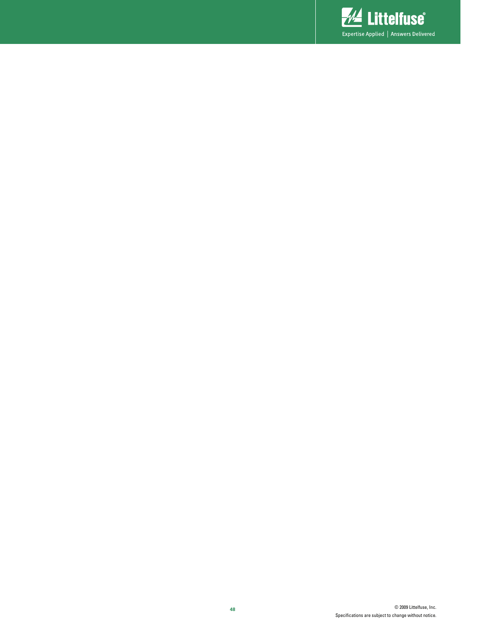